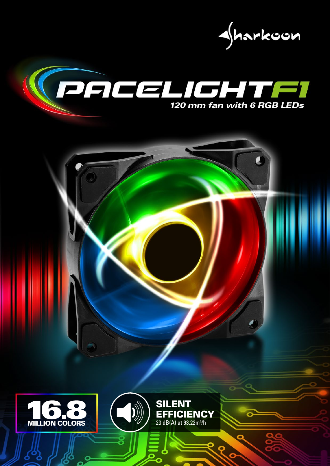





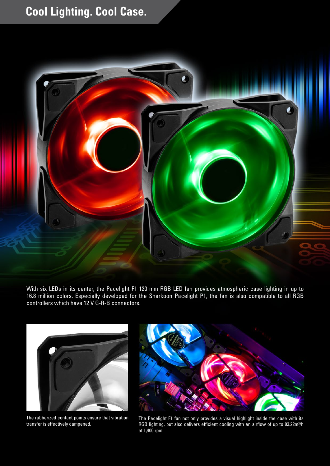## **Cool Lighting. Cool Case.**



With six LEDs in its center, the Pacelight F1 120 mm RGB LED fan provides atmospheric case lighting in up to 16.8 million colors. Especially developed for the Sharkoon Pacelight P1, the fan is also compatible to all RGB controllers which have 12 V G-R-B connectors.



The rubberized contact points ensure that vibration transfer is effectively dampened.



The Pacelight F1 fan not only provides a visual highlight inside the case with its RGB lighting, but also delivers efficient cooling with an airflow of up to 93.22m<sup>3</sup>/h at 1,400 rpm.